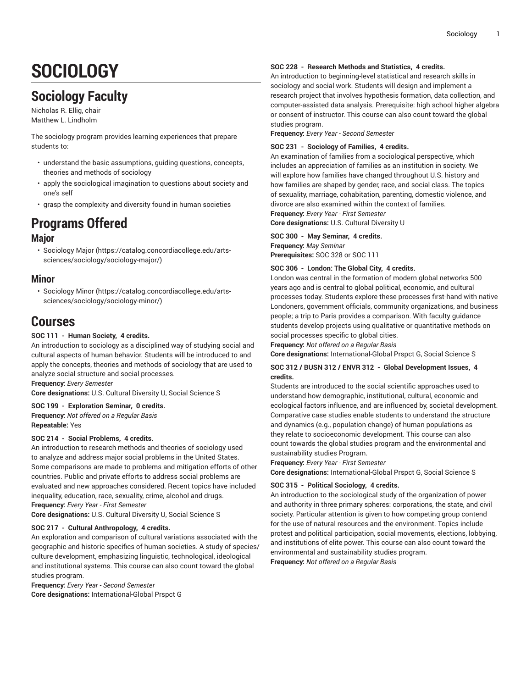# **SOCIOLOGY**

# **Sociology Faculty**

Nicholas R. Ellig, chair Matthew L. Lindholm

The sociology program provides learning experiences that prepare students to:

- understand the basic assumptions, guiding questions, concepts, theories and methods of sociology
- apply the sociological imagination to questions about society and one's self
- grasp the complexity and diversity found in human societies

# **Programs Offered**

# **Major**

• [Sociology Major](https://catalog.concordiacollege.edu/arts-sciences/sociology/sociology-major/) ([https://catalog.concordiacollege.edu/arts](https://catalog.concordiacollege.edu/arts-sciences/sociology/sociology-major/)[sciences/sociology/sociology-major/\)](https://catalog.concordiacollege.edu/arts-sciences/sociology/sociology-major/)

# **Minor**

• [Sociology Minor](https://catalog.concordiacollege.edu/arts-sciences/sociology/sociology-minor/) ([https://catalog.concordiacollege.edu/arts](https://catalog.concordiacollege.edu/arts-sciences/sociology/sociology-minor/)[sciences/sociology/sociology-minor/](https://catalog.concordiacollege.edu/arts-sciences/sociology/sociology-minor/))

# **Courses**

# **SOC 111 - Human Society, 4 credits.**

An introduction to sociology as a disciplined way of studying social and cultural aspects of human behavior. Students will be introduced to and apply the concepts, theories and methods of sociology that are used to analyze social structure and social processes.

**Frequency:** *Every Semester*

**Core designations:** U.S. Cultural Diversity U, Social Science S

### **SOC 199 - Exploration Seminar, 0 credits.**

**Frequency:** *Not offered on a Regular Basis* **Repeatable:** Yes

### **SOC 214 - Social Problems, 4 credits.**

An introduction to research methods and theories of sociology used to analyze and address major social problems in the United States. Some comparisons are made to problems and mitigation efforts of other countries. Public and private efforts to address social problems are evaluated and new approaches considered. Recent topics have included inequality, education, race, sexuality, crime, alcohol and drugs. **Frequency:** *Every Year - First Semester*

**Core designations:** U.S. Cultural Diversity U, Social Science S

### **SOC 217 - Cultural Anthropology, 4 credits.**

An exploration and comparison of cultural variations associated with the geographic and historic specifics of human societies. A study of species/ culture development, emphasizing linguistic, technological, ideological and institutional systems. This course can also count toward the global studies program.

**Frequency:** *Every Year - Second Semester* **Core designations:** International-Global Prspct G

#### **SOC 228 - Research Methods and Statistics, 4 credits.**

An introduction to beginning-level statistical and research skills in sociology and social work. Students will design and implement a research project that involves hypothesis formation, data collection, and computer-assisted data analysis. Prerequisite: high school higher algebra or consent of instructor. This course can also count toward the global studies program.

**Frequency:** *Every Year - Second Semester*

#### **SOC 231 - Sociology of Families, 4 credits.**

An examination of families from a sociological perspective, which includes an appreciation of families as an institution in society. We will explore how families have changed throughout U.S. history and how families are shaped by gender, race, and social class. The topics of sexuality, marriage, cohabitation, parenting, domestic violence, and divorce are also examined within the context of families.

**Frequency:** *Every Year - First Semester*

**Core designations:** U.S. Cultural Diversity U

#### **SOC 300 - May Seminar, 4 credits.**

**Frequency:** *May Seminar* **Prerequisites:** SOC 328 or SOC 111

#### **SOC 306 - London: The Global City, 4 credits.**

London was central in the formation of modern global networks 500 years ago and is central to global political, economic, and cultural processes today. Students explore these processes first-hand with native Londoners, government officials, community organizations, and business people; a trip to Paris provides a comparison. With faculty guidance students develop projects using qualitative or quantitative methods on social processes specific to global cities.

**Frequency:** *Not offered on a Regular Basis*

**Core designations:** International-Global Prspct G, Social Science S

## **SOC 312 / BUSN 312 / ENVR 312 - Global Development Issues, 4 credits.**

Students are introduced to the social scientific approaches used to understand how demographic, institutional, cultural, economic and ecological factors influence, and are influenced by, societal development. Comparative case studies enable students to understand the structure and dynamics (e.g., population change) of human populations as they relate to socioeconomic development. This course can also count towards the global studies program and the environmental and sustainability studies Program.

**Frequency:** *Every Year - First Semester*

**Core designations:** International-Global Prspct G, Social Science S

#### **SOC 315 - Political Sociology, 4 credits.**

An introduction to the sociological study of the organization of power and authority in three primary spheres: corporations, the state, and civil society. Particular attention is given to how competing group contend for the use of natural resources and the environment. Topics include protest and political participation, social movements, elections, lobbying, and institutions of elite power. This course can also count toward the environmental and sustainability studies program.

**Frequency:** *Not offered on a Regular Basis*